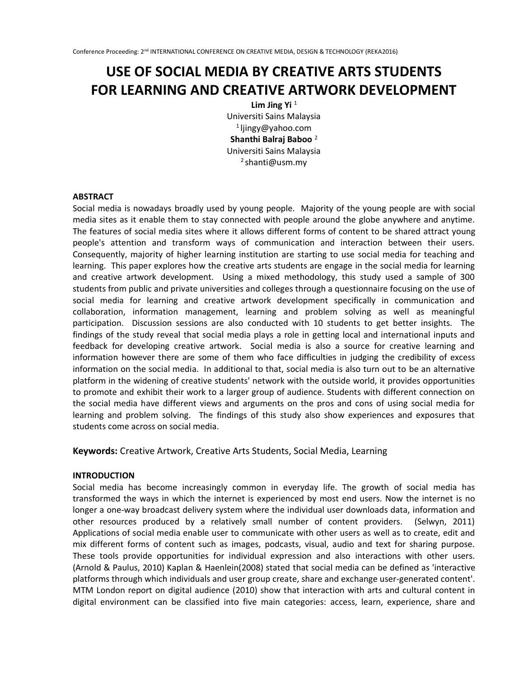# **USE OF SOCIAL MEDIA BY CREATIVE ARTS STUDENTS FOR LEARNING AND CREATIVE ARTWORK DEVELOPMENT**

Lim Jing Yi<sup>1</sup> Universiti Sains Malaysia 1 ljingy@yahoo.com **Shanthi Balraj Baboo** <sup>2</sup> Universiti Sains Malaysia  $2$ shanti@usm.my

#### **ABSTRACT**

Social media is nowadays broadly used by young people. Majority of the young people are with social media sites as it enable them to stay connected with people around the globe anywhere and anytime. The features of social media sites where it allows different forms of content to be shared attract young people's attention and transform ways of communication and interaction between their users. Consequently, majority of higher learning institution are starting to use social media for teaching and learning. This paper explores how the creative arts students are engage in the social media for learning and creative artwork development. Using a mixed methodology, this study used a sample of 300 students from public and private universities and colleges through a questionnaire focusing on the use of social media for learning and creative artwork development specifically in communication and collaboration, information management, learning and problem solving as well as meaningful participation. Discussion sessions are also conducted with 10 students to get better insights. The findings of the study reveal that social media plays a role in getting local and international inputs and feedback for developing creative artwork. Social media is also a source for creative learning and information however there are some of them who face difficulties in judging the credibility of excess information on the social media. In additional to that, social media is also turn out to be an alternative platform in the widening of creative students' network with the outside world, it provides opportunities to promote and exhibit their work to a larger group of audience. Students with different connection on the social media have different views and arguments on the pros and cons of using social media for learning and problem solving. The findings of this study also show experiences and exposures that students come across on social media.

**Keywords:** Creative Artwork, Creative Arts Students, Social Media, Learning

#### **INTRODUCTION**

Social media has become increasingly common in everyday life. The growth of social media has transformed the ways in which the internet is experienced by most end users. Now the internet is no longer a one-way broadcast delivery system where the individual user downloads data, information and other resources produced by a relatively small number of content providers. (Selwyn, 2011) Applications of social media enable user to communicate with other users as well as to create, edit and mix different forms of content such as images, podcasts, visual, audio and text for sharing purpose. These tools provide opportunities for individual expression and also interactions with other users. (Arnold & Paulus, 2010) Kaplan & Haenlein(2008) stated that social media can be defined as 'interactive platforms through which individuals and user group create, share and exchange user-generated content'. MTM London report on digital audience (2010) show that interaction with arts and cultural content in digital environment can be classified into five main categories: access, learn, experience, share and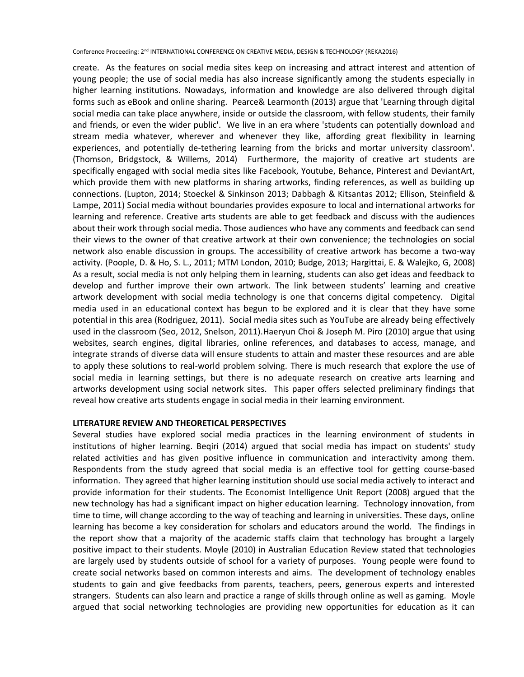Conference Proceeding: 2nd INTERNATIONAL CONFERENCE ON CREATIVE MEDIA, DESIGN & TECHNOLOGY (REKA2016)

create. As the features on social media sites keep on increasing and attract interest and attention of young people; the use of social media has also increase significantly among the students especially in higher learning institutions. Nowadays, information and knowledge are also delivered through digital forms such as eBook and online sharing. Pearce& Learmonth (2013) argue that 'Learning through digital social media can take place anywhere, inside or outside the classroom, with fellow students, their family and friends, or even the wider public'. We live in an era where 'students can potentially download and stream media whatever, wherever and whenever they like, affording great flexibility in learning experiences, and potentially de-tethering learning from the bricks and mortar university classroom'. (Thomson, Bridgstock, & Willems, 2014) Furthermore, the majority of creative art students are specifically engaged with social media sites like Facebook, Youtube, Behance, Pinterest and DeviantArt, which provide them with new platforms in sharing artworks, finding references, as well as building up connections. (Lupton, 2014; Stoeckel & Sinkinson 2013; Dabbagh & Kitsantas 2012; Ellison, Steinfield & Lampe, 2011) Social media without boundaries provides exposure to local and international artworks for learning and reference. Creative arts students are able to get feedback and discuss with the audiences about their work through social media. Those audiences who have any comments and feedback can send their views to the owner of that creative artwork at their own convenience; the technologies on social network also enable discussion in groups. The accessibility of creative artwork has become a two-way activity. (Poople, D. & Ho, S. L., 2011; MTM London, 2010; Budge, 2013; Hargittai, E. & Walejko, G, 2008) As a result, social media is not only helping them in learning, students can also get ideas and feedback to develop and further improve their own artwork. The link between students' learning and creative artwork development with social media technology is one that concerns digital competency. Digital media used in an educational context has begun to be explored and it is clear that they have some potential in this area (Rodriguez, 2011). Social media sites such as YouTube are already being effectively used in the classroom (Seo, 2012, Snelson, 2011).Haeryun Choi & Joseph M. Piro (2010) argue that using websites, search engines, digital libraries, online references, and databases to access, manage, and integrate strands of diverse data will ensure students to attain and master these resources and are able to apply these solutions to real-world problem solving. There is much research that explore the use of social media in learning settings, but there is no adequate research on creative arts learning and artworks development using social network sites. This paper offers selected preliminary findings that reveal how creative arts students engage in social media in their learning environment.

## **LITERATURE REVIEW AND THEORETICAL PERSPECTIVES**

Several studies have explored social media practices in the learning environment of students in institutions of higher learning. Beqiri (2014) argued that social media has impact on students' study related activities and has given positive influence in communication and interactivity among them. Respondents from the study agreed that social media is an effective tool for getting course-based information. They agreed that higher learning institution should use social media actively to interact and provide information for their students. The Economist Intelligence Unit Report (2008) argued that the new technology has had a significant impact on higher education learning. Technology innovation, from time to time, will change according to the way of teaching and learning in universities. These days, online learning has become a key consideration for scholars and educators around the world. The findings in the report show that a majority of the academic staffs claim that technology has brought a largely positive impact to their students. Moyle (2010) in Australian Education Review stated that technologies are largely used by students outside of school for a variety of purposes. Young people were found to create social networks based on common interests and aims. The development of technology enables students to gain and give feedbacks from parents, teachers, peers, generous experts and interested strangers. Students can also learn and practice a range of skills through online as well as gaming. Moyle argued that social networking technologies are providing new opportunities for education as it can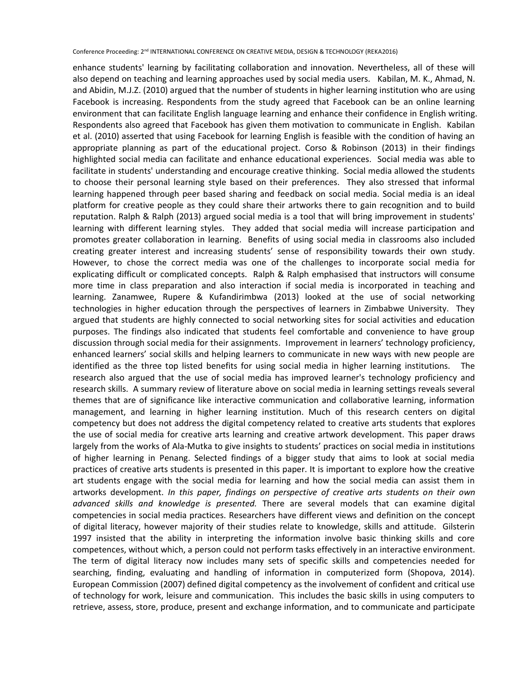Conference Proceeding: 2nd INTERNATIONAL CONFERENCE ON CREATIVE MEDIA, DESIGN & TECHNOLOGY (REKA2016)

enhance students' learning by facilitating collaboration and innovation. Nevertheless, all of these will also depend on teaching and learning approaches used by social media users. Kabilan, M. K., Ahmad, N. and Abidin, M.J.Z. (2010) argued that the number of students in higher learning institution who are using Facebook is increasing. Respondents from the study agreed that Facebook can be an online learning environment that can facilitate English language learning and enhance their confidence in English writing. Respondents also agreed that Facebook has given them motivation to communicate in English. Kabilan et al. (2010) asserted that using Facebook for learning English is feasible with the condition of having an appropriate planning as part of the educational project. Corso & Robinson (2013) in their findings highlighted social media can facilitate and enhance educational experiences. Social media was able to facilitate in students' understanding and encourage creative thinking. Social media allowed the students to choose their personal learning style based on their preferences. They also stressed that informal learning happened through peer based sharing and feedback on social media. Social media is an ideal platform for creative people as they could share their artworks there to gain recognition and to build reputation. Ralph & Ralph (2013) argued social media is a tool that will bring improvement in students' learning with different learning styles. They added that social media will increase participation and promotes greater collaboration in learning. Benefits of using social media in classrooms also included creating greater interest and increasing students' sense of responsibility towards their own study. However, to chose the correct media was one of the challenges to incorporate social media for explicating difficult or complicated concepts. Ralph & Ralph emphasised that instructors will consume more time in class preparation and also interaction if social media is incorporated in teaching and learning. Zanamwee, Rupere & Kufandirimbwa (2013) looked at the use of social networking technologies in higher education through the perspectives of learners in Zimbabwe University. They argued that students are highly connected to social networking sites for social activities and education purposes. The findings also indicated that students feel comfortable and convenience to have group discussion through social media for their assignments. Improvement in learners' technology proficiency, enhanced learners' social skills and helping learners to communicate in new ways with new people are identified as the three top listed benefits for using social media in higher learning institutions. The research also argued that the use of social media has improved learner's technology proficiency and research skills. A summary review of literature above on social media in learning settings reveals several themes that are of significance like interactive communication and collaborative learning, information management, and learning in higher learning institution. Much of this research centers on digital competency but does not address the digital competency related to creative arts students that explores the use of social media for creative arts learning and creative artwork development. This paper draws largely from the works of Ala-Mutka to give insights to students' practices on social media in institutions of higher learning in Penang. Selected findings of a bigger study that aims to look at social media practices of creative arts students is presented in this paper. It is important to explore how the creative art students engage with the social media for learning and how the social media can assist them in artworks development. *In this paper, findings on perspective of creative arts students on their own advanced skills and knowledge is presented.* There are several models that can examine digital competencies in social media practices. Researchers have different views and definition on the concept of digital literacy, however majority of their studies relate to knowledge, skills and attitude. Gilsterin 1997 insisted that the ability in interpreting the information involve basic thinking skills and core competences, without which, a person could not perform tasks effectively in an interactive environment. The term of digital literacy now includes many sets of specific skills and competencies needed for searching, finding, evaluating and handling of information in computerized form (Shopova, 2014). European Commission (2007) defined digital competency as the involvement of confident and critical use of technology for work, leisure and communication. This includes the basic skills in using computers to retrieve, assess, store, produce, present and exchange information, and to communicate and participate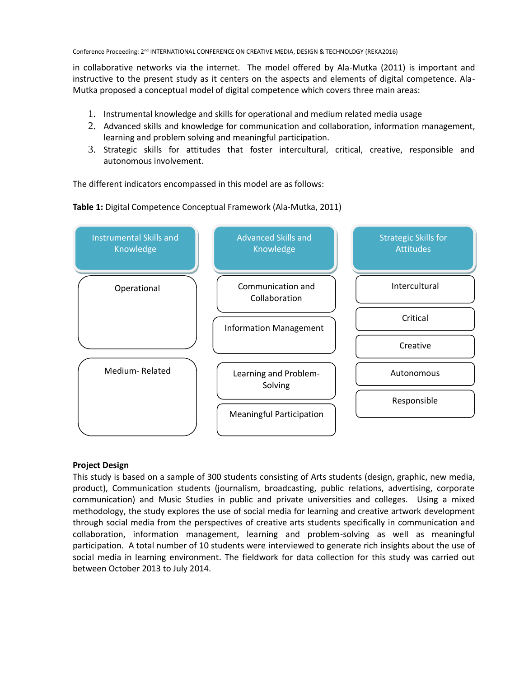in collaborative networks via the internet. The model offered by Ala-Mutka (2011) is important and instructive to the present study as it centers on the aspects and elements of digital competence. Ala-Mutka proposed a conceptual model of digital competence which covers three main areas:

- 1. Instrumental knowledge and skills for operational and medium related media usage
- 2. Advanced skills and knowledge for communication and collaboration, information management, learning and problem solving and meaningful participation.
- 3. Strategic skills for attitudes that foster intercultural, critical, creative, responsible and autonomous involvement.

The different indicators encompassed in this model are as follows:

**Table 1:** Digital Competence Conceptual Framework (Ala-Mutka, 2011)



# **Project Design**

This study is based on a sample of 300 students consisting of Arts students (design, graphic, new media, product), Communication students (journalism, broadcasting, public relations, advertising, corporate communication) and Music Studies in public and private universities and colleges. Using a mixed methodology, the study explores the use of social media for learning and creative artwork development through social media from the perspectives of creative arts students specifically in communication and collaboration, information management, learning and problem-solving as well as meaningful participation. A total number of 10 students were interviewed to generate rich insights about the use of social media in learning environment. The fieldwork for data collection for this study was carried out between October 2013 to July 2014.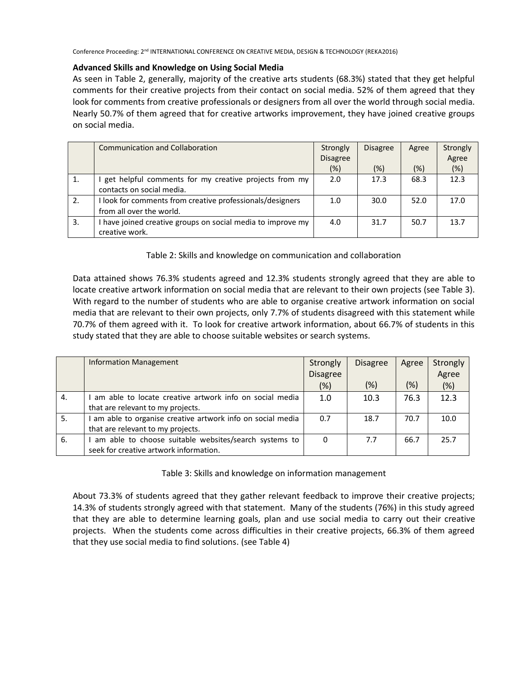Conference Proceeding: 2<sup>nd</sup> INTERNATIONAL CONFERENCE ON CREATIVE MEDIA, DESIGN & TECHNOLOGY (REKA2016)

## **Advanced Skills and Knowledge on Using Social Media**

As seen in Table 2, generally, majority of the creative arts students (68.3%) stated that they get helpful comments for their creative projects from their contact on social media. 52% of them agreed that they look for comments from creative professionals or designers from all over the world through social media. Nearly 50.7% of them agreed that for creative artworks improvement, they have joined creative groups on social media.

|    | <b>Communication and Collaboration</b>                      | Strongly        | <b>Disagree</b> | Agree  | Strongly |
|----|-------------------------------------------------------------|-----------------|-----------------|--------|----------|
|    |                                                             | <b>Disagree</b> |                 |        | Agree    |
|    |                                                             | (%)             | (%)             | $(\%)$ | (%)      |
| 1. | get helpful comments for my creative projects from my       | 2.0             | 17.3            | 68.3   | 12.3     |
|    | contacts on social media.                                   |                 |                 |        |          |
| 2. | I look for comments from creative professionals/designers   | 1.0             | 30.0            | 52.0   | 17.0     |
|    | from all over the world.                                    |                 |                 |        |          |
| 3. | I have joined creative groups on social media to improve my | 4.0             | 31.7            | 50.7   | 13.7     |
|    | creative work.                                              |                 |                 |        |          |

Table 2: Skills and knowledge on communication and collaboration

Data attained shows 76.3% students agreed and 12.3% students strongly agreed that they are able to locate creative artwork information on social media that are relevant to their own projects (see Table 3). With regard to the number of students who are able to organise creative artwork information on social media that are relevant to their own projects, only 7.7% of students disagreed with this statement while 70.7% of them agreed with it. To look for creative artwork information, about 66.7% of students in this study stated that they are able to choose suitable websites or search systems.

|    | <b>Information Management</b>                             | Strongly        | <b>Disagree</b> | Agree  | Strongly |
|----|-----------------------------------------------------------|-----------------|-----------------|--------|----------|
|    |                                                           | <b>Disagree</b> |                 |        | Agree    |
|    |                                                           | $(\%)$          | (%)             | $(\%)$ | (%)      |
| 4. | am able to locate creative artwork info on social media   | 1.0             | 10.3            | 76.3   | 12.3     |
|    | that are relevant to my projects.                         |                 |                 |        |          |
| 5. | am able to organise creative artwork info on social media | 0.7             | 18.7            | 70.7   | 10.0     |
|    | that are relevant to my projects.                         |                 |                 |        |          |
| 6. | am able to choose suitable websites/search systems to     | 0               | 7.7             | 66.7   | 25.7     |
|    | seek for creative artwork information.                    |                 |                 |        |          |

Table 3: Skills and knowledge on information management

About 73.3% of students agreed that they gather relevant feedback to improve their creative projects; 14.3% of students strongly agreed with that statement. Many of the students (76%) in this study agreed that they are able to determine learning goals, plan and use social media to carry out their creative projects. When the students come across difficulties in their creative projects, 66.3% of them agreed that they use social media to find solutions. (see Table 4)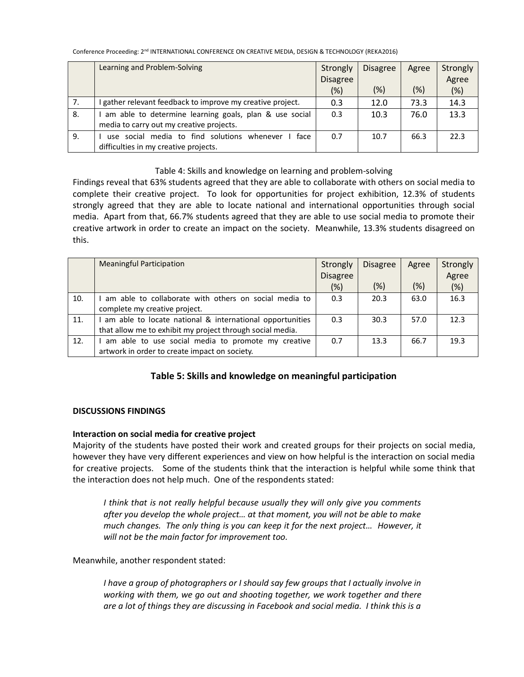Conference Proceeding: 2<sup>nd</sup> INTERNATIONAL CONFERENCE ON CREATIVE MEDIA, DESIGN & TECHNOLOGY (REKA2016)

|    | Learning and Problem-Solving                             | Strongly        | <b>Disagree</b> | Agree  | Strongly |
|----|----------------------------------------------------------|-----------------|-----------------|--------|----------|
|    |                                                          | <b>Disagree</b> |                 |        | Agree    |
|    |                                                          | (%)             | $(\%)$          | $(\%)$ | (%)      |
| 7. | gather relevant feedback to improve my creative project. | 0.3             | 12.0            | 73.3   | 14.3     |
| 8. | am able to determine learning goals, plan & use social   | 0.3             | 10.3            | 76.0   | 13.3     |
|    | media to carry out my creative projects.                 |                 |                 |        |          |
| 9. | face<br>use social media to find solutions whenever      | 0.7             | 10.7            | 66.3   | 22.3     |
|    | difficulties in my creative projects.                    |                 |                 |        |          |

## Table 4: Skills and knowledge on learning and problem-solving

Findings reveal that 63% students agreed that they are able to collaborate with others on social media to complete their creative project. To look for opportunities for project exhibition, 12.3% of students strongly agreed that they are able to locate national and international opportunities through social media. Apart from that, 66.7% students agreed that they are able to use social media to promote their creative artwork in order to create an impact on the society. Meanwhile, 13.3% students disagreed on this.

|     | <b>Meaningful Participation</b>                           | Strongly        | <b>Disagree</b> | Agree | Strongly |
|-----|-----------------------------------------------------------|-----------------|-----------------|-------|----------|
|     |                                                           | <b>Disagree</b> |                 |       | Agree    |
|     |                                                           | (%)             | (%)             | (%)   | (%)      |
| 10. | am able to collaborate with others on social media to     | 0.3             | 20.3            | 63.0  | 16.3     |
|     | complete my creative project.                             |                 |                 |       |          |
| 11. | am able to locate national & international opportunities  | 0.3             | 30.3            | 57.0  | 12.3     |
|     | that allow me to exhibit my project through social media. |                 |                 |       |          |
| 12. | am able to use social media to promote my creative        | 0.7             | 13.3            | 66.7  | 19.3     |
|     | artwork in order to create impact on society.             |                 |                 |       |          |

# **Table 5: Skills and knowledge on meaningful participation**

# **DISCUSSIONS FINDINGS**

# **Interaction on social media for creative project**

Majority of the students have posted their work and created groups for their projects on social media, however they have very different experiences and view on how helpful is the interaction on social media for creative projects. Some of the students think that the interaction is helpful while some think that the interaction does not help much. One of the respondents stated:

*I think that is not really helpful because usually they will only give you comments after you develop the whole project… at that moment, you will not be able to make much changes. The only thing is you can keep it for the next project… However, it will not be the main factor for improvement too.*

Meanwhile, another respondent stated:

*I have a group of photographers or I should say few groups that I actually involve in working with them, we go out and shooting together, we work together and there are a lot of things they are discussing in Facebook and social media. I think this is a*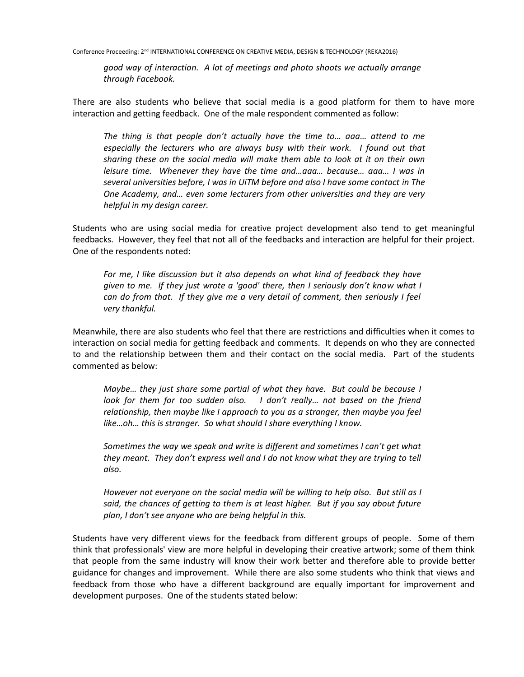*good way of interaction. A lot of meetings and photo shoots we actually arrange through Facebook.*

There are also students who believe that social media is a good platform for them to have more interaction and getting feedback. One of the male respondent commented as follow:

*The thing is that people don't actually have the time to… aaa… attend to me especially the lecturers who are always busy with their work. I found out that sharing these on the social media will make them able to look at it on their own leisure time. Whenever they have the time and…aaa… because… aaa… I was in several universities before, I was in UiTM before and also I have some contact in The One Academy, and… even some lecturers from other universities and they are very helpful in my design career.*

Students who are using social media for creative project development also tend to get meaningful feedbacks. However, they feel that not all of the feedbacks and interaction are helpful for their project. One of the respondents noted:

*For me, I like discussion but it also depends on what kind of feedback they have given to me. If they just wrote a 'good' there, then I seriously don't know what I can do from that. If they give me a very detail of comment, then seriously I feel very thankful.* 

Meanwhile, there are also students who feel that there are restrictions and difficulties when it comes to interaction on social media for getting feedback and comments. It depends on who they are connected to and the relationship between them and their contact on the social media. Part of the students commented as below:

*Maybe… they just share some partial of what they have. But could be because I look for them for too sudden also.* I don't really... not based on the friend *relationship, then maybe like I approach to you as a stranger, then maybe you feel like…oh… this is stranger. So what should I share everything I know.* 

*Sometimes the way we speak and write is different and sometimes I can't get what they meant. They don't express well and I do not know what they are trying to tell also.* 

*However not everyone on the social media will be willing to help also. But still as I said, the chances of getting to them is at least higher. But if you say about future plan, I don't see anyone who are being helpful in this.* 

Students have very different views for the feedback from different groups of people. Some of them think that professionals' view are more helpful in developing their creative artwork; some of them think that people from the same industry will know their work better and therefore able to provide better guidance for changes and improvement. While there are also some students who think that views and feedback from those who have a different background are equally important for improvement and development purposes. One of the students stated below: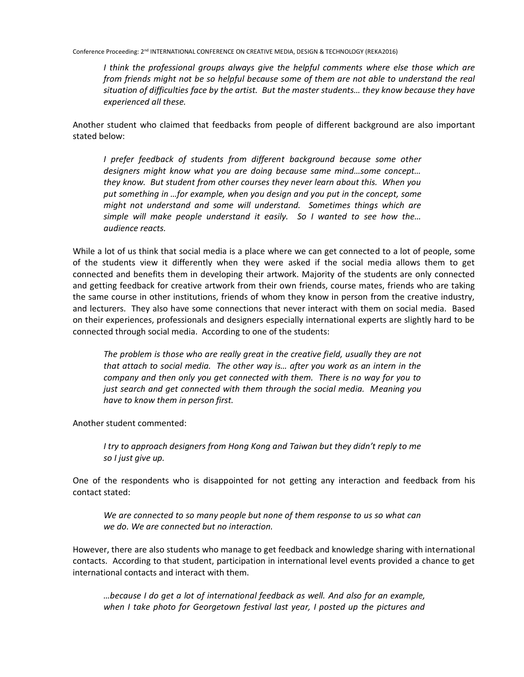*I think the professional groups always give the helpful comments where else those which are from friends might not be so helpful because some of them are not able to understand the real situation of difficulties face by the artist. But the master students… they know because they have experienced all these.* 

Another student who claimed that feedbacks from people of different background are also important stated below:

*I prefer feedback of students from different background because some other designers might know what you are doing because same mind…some concept… they know. But student from other courses they never learn about this. When you put something in …for example, when you design and you put in the concept, some might not understand and some will understand. Sometimes things which are simple will make people understand it easily. So I wanted to see how the… audience reacts.*

While a lot of us think that social media is a place where we can get connected to a lot of people, some of the students view it differently when they were asked if the social media allows them to get connected and benefits them in developing their artwork. Majority of the students are only connected and getting feedback for creative artwork from their own friends, course mates, friends who are taking the same course in other institutions, friends of whom they know in person from the creative industry, and lecturers. They also have some connections that never interact with them on social media. Based on their experiences, professionals and designers especially international experts are slightly hard to be connected through social media. According to one of the students:

*The problem is those who are really great in the creative field, usually they are not that attach to social media. The other way is… after you work as an intern in the company and then only you get connected with them. There is no way for you to just search and get connected with them through the social media. Meaning you have to know them in person first.* 

Another student commented:

*I try to approach designers from Hong Kong and Taiwan but they didn't reply to me so I just give up.* 

One of the respondents who is disappointed for not getting any interaction and feedback from his contact stated:

*We are connected to so many people but none of them response to us so what can we do. We are connected but no interaction.* 

However, there are also students who manage to get feedback and knowledge sharing with international contacts. According to that student, participation in international level events provided a chance to get international contacts and interact with them.

*…because I do get a lot of international feedback as well. And also for an example, when I take photo for Georgetown festival last year, I posted up the pictures and*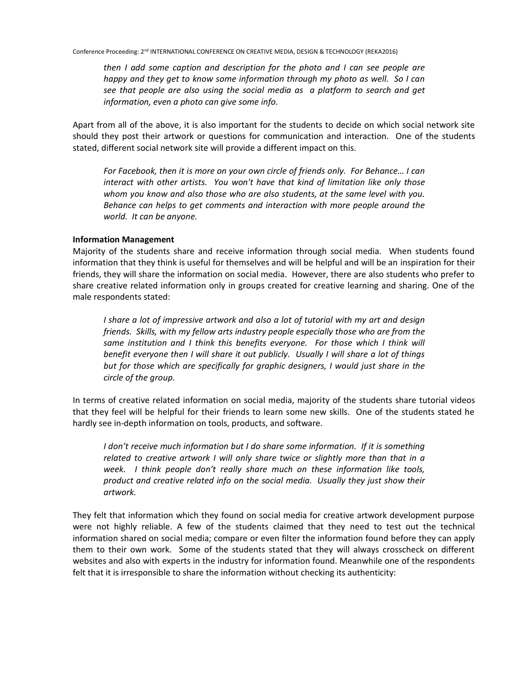*then I add some caption and description for the photo and I can see people are happy and they get to know some information through my photo as well. So I can see that people are also using the social media as a platform to search and get information, even a photo can give some info.* 

Apart from all of the above, it is also important for the students to decide on which social network site should they post their artwork or questions for communication and interaction. One of the students stated, different social network site will provide a different impact on this.

*For Facebook, then it is more on your own circle of friends only. For Behance… I can interact with other artists. You won't have that kind of limitation like only those whom you know and also those who are also students, at the same level with you. Behance can helps to get comments and interaction with more people around the world. It can be anyone.* 

## **Information Management**

Majority of the students share and receive information through social media. When students found information that they think is useful for themselves and will be helpful and will be an inspiration for their friends, they will share the information on social media. However, there are also students who prefer to share creative related information only in groups created for creative learning and sharing. One of the male respondents stated:

*I share a lot of impressive artwork and also a lot of tutorial with my art and design friends. Skills, with my fellow arts industry people especially those who are from the*  same institution and I think this benefits everyone. For those which I think will *benefit everyone then I will share it out publicly. Usually I will share a lot of things but for those which are specifically for graphic designers, I would just share in the circle of the group.* 

In terms of creative related information on social media, majority of the students share tutorial videos that they feel will be helpful for their friends to learn some new skills. One of the students stated he hardly see in-depth information on tools, products, and software.

*I don't receive much information but I do share some information. If it is something related to creative artwork I will only share twice or slightly more than that in a week. I think people don't really share much on these information like tools, product and creative related info on the social media. Usually they just show their artwork.* 

They felt that information which they found on social media for creative artwork development purpose were not highly reliable. A few of the students claimed that they need to test out the technical information shared on social media; compare or even filter the information found before they can apply them to their own work. Some of the students stated that they will always crosscheck on different websites and also with experts in the industry for information found. Meanwhile one of the respondents felt that it is irresponsible to share the information without checking its authenticity: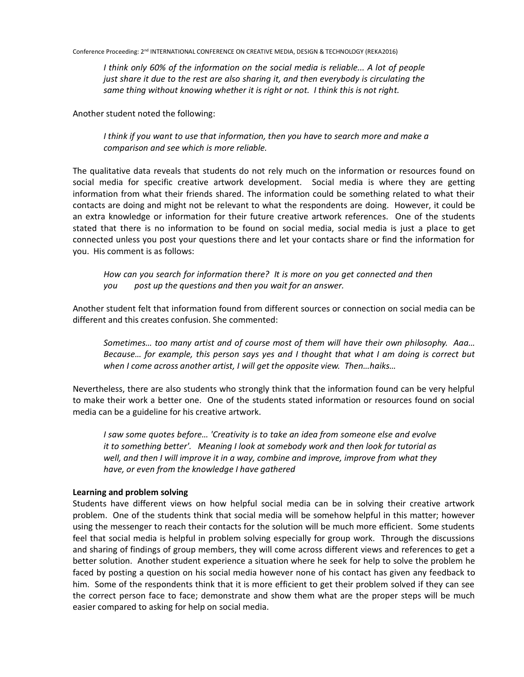*I think only 60% of the information on the social media is reliable... A lot of people just share it due to the rest are also sharing it, and then everybody is circulating the same thing without knowing whether it is right or not. I think this is not right.* 

Another student noted the following:

*I think if you want to use that information, then you have to search more and make a comparison and see which is more reliable.* 

The qualitative data reveals that students do not rely much on the information or resources found on social media for specific creative artwork development. Social media is where they are getting information from what their friends shared. The information could be something related to what their contacts are doing and might not be relevant to what the respondents are doing. However, it could be an extra knowledge or information for their future creative artwork references. One of the students stated that there is no information to be found on social media, social media is just a place to get connected unless you post your questions there and let your contacts share or find the information for you. His comment is as follows:

*How can you search for information there? It is more on you get connected and then you post up the questions and then you wait for an answer.* 

Another student felt that information found from different sources or connection on social media can be different and this creates confusion. She commented:

*Sometimes… too many artist and of course most of them will have their own philosophy. Aaa… Because… for example, this person says yes and I thought that what I am doing is correct but when I come across another artist, I will get the opposite view. Then…haiks…*

Nevertheless, there are also students who strongly think that the information found can be very helpful to make their work a better one. One of the students stated information or resources found on social media can be a guideline for his creative artwork.

*I saw some quotes before… 'Creativity is to take an idea from someone else and evolve it to something better'. Meaning I look at somebody work and then look for tutorial as well, and then I will improve it in a way, combine and improve, improve from what they have, or even from the knowledge I have gathered*

## **Learning and problem solving**

Students have different views on how helpful social media can be in solving their creative artwork problem. One of the students think that social media will be somehow helpful in this matter; however using the messenger to reach their contacts for the solution will be much more efficient. Some students feel that social media is helpful in problem solving especially for group work. Through the discussions and sharing of findings of group members, they will come across different views and references to get a better solution. Another student experience a situation where he seek for help to solve the problem he faced by posting a question on his social media however none of his contact has given any feedback to him. Some of the respondents think that it is more efficient to get their problem solved if they can see the correct person face to face; demonstrate and show them what are the proper steps will be much easier compared to asking for help on social media.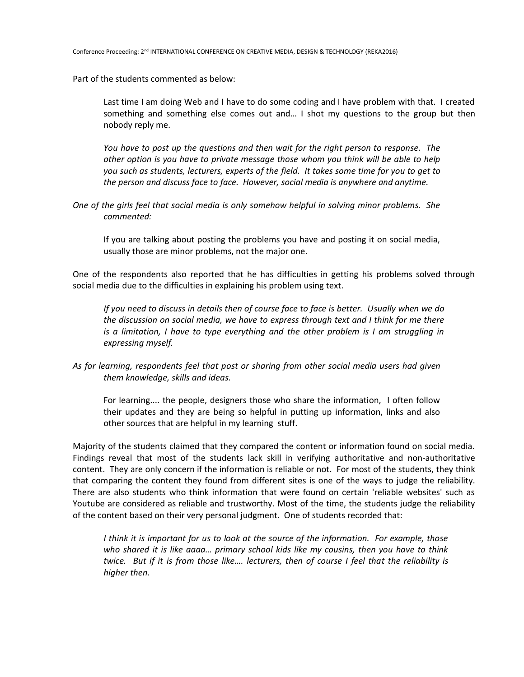Part of the students commented as below:

Last time I am doing Web and I have to do some coding and I have problem with that. I created something and something else comes out and… I shot my questions to the group but then nobody reply me.

*You have to post up the questions and then wait for the right person to response. The other option is you have to private message those whom you think will be able to help you such as students, lecturers, experts of the field. It takes some time for you to get to the person and discuss face to face. However, social media is anywhere and anytime.* 

*One of the girls feel that social media is only somehow helpful in solving minor problems. She commented:*

If you are talking about posting the problems you have and posting it on social media, usually those are minor problems, not the major one.

One of the respondents also reported that he has difficulties in getting his problems solved through social media due to the difficulties in explaining his problem using text.

*If you need to discuss in details then of course face to face is better. Usually when we do the discussion on social media, we have to express through text and I think for me there is a limitation, I have to type everything and the other problem is I am struggling in expressing myself.* 

*As for learning, respondents feel that post or sharing from other social media users had given them knowledge, skills and ideas.* 

For learning.... the people, designers those who share the information, I often follow their updates and they are being so helpful in putting up information, links and also other sources that are helpful in my learning stuff.

Majority of the students claimed that they compared the content or information found on social media. Findings reveal that most of the students lack skill in verifying authoritative and non-authoritative content. They are only concern if the information is reliable or not. For most of the students, they think that comparing the content they found from different sites is one of the ways to judge the reliability. There are also students who think information that were found on certain 'reliable websites' such as Youtube are considered as reliable and trustworthy. Most of the time, the students judge the reliability of the content based on their very personal judgment. One of students recorded that:

*I think it is important for us to look at the source of the information. For example, those who shared it is like aaaa… primary school kids like my cousins, then you have to think twice. But if it is from those like…. lecturers, then of course I feel that the reliability is higher then.*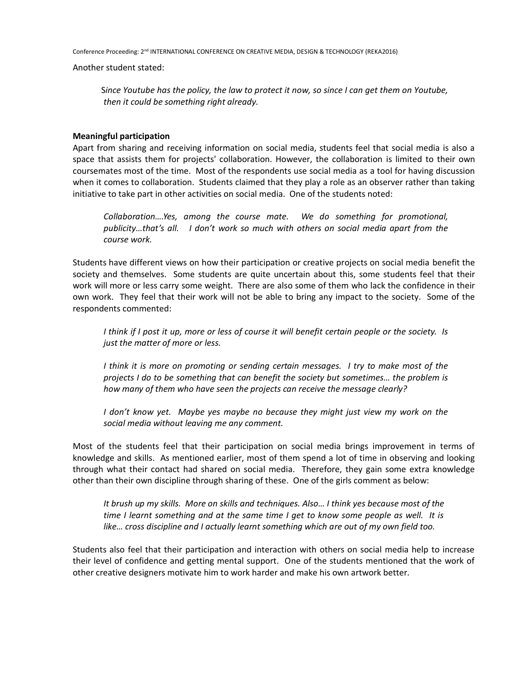Conference Proceeding: 2<sup>nd</sup> INTERNATIONAL CONFERENCE ON CREATIVE MEDIA, DESIGN & TECHNOLOGY (REKA2016)

Another student stated:

S*ince Youtube has the policy, the law to protect it now, so since I can get them on Youtube, then it could be something right already.* 

## **Meaningful participation**

Apart from sharing and receiving information on social media, students feel that social media is also a space that assists them for projects' collaboration. However, the collaboration is limited to their own coursemates most of the time. Most of the respondents use social media as a tool for having discussion when it comes to collaboration. Students claimed that they play a role as an observer rather than taking initiative to take part in other activities on social media. One of the students noted:

*Collaboration….Yes, among the course mate. We do something for promotional, publicity…that's all. I don't work so much with others on social media apart from the course work.* 

Students have different views on how their participation or creative projects on social media benefit the society and themselves. Some students are quite uncertain about this, some students feel that their work will more or less carry some weight. There are also some of them who lack the confidence in their own work. They feel that their work will not be able to bring any impact to the society. Some of the respondents commented:

*I think if I post it up, more or less of course it will benefit certain people or the society. Is just the matter of more or less.*

*I think it is more on promoting or sending certain messages. I try to make most of the projects I do to be something that can benefit the society but sometimes… the problem is how many of them who have seen the projects can receive the message clearly?* 

*I don't know yet. Maybe yes maybe no because they might just view my work on the social media without leaving me any comment.* 

Most of the students feel that their participation on social media brings improvement in terms of knowledge and skills. As mentioned earlier, most of them spend a lot of time in observing and looking through what their contact had shared on social media. Therefore, they gain some extra knowledge other than their own discipline through sharing of these. One of the girls comment as below:

*It brush up my skills. More on skills and techniques. Also… I think yes because most of the time I learnt something and at the same time I get to know some people as well. It is like… cross discipline and I actually learnt something which are out of my own field too.* 

Students also feel that their participation and interaction with others on social media help to increase their level of confidence and getting mental support. One of the students mentioned that the work of other creative designers motivate him to work harder and make his own artwork better.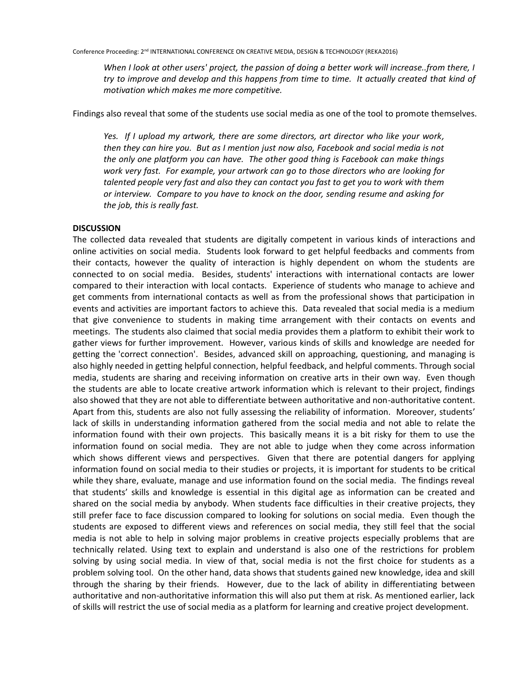*When I look at other users' project, the passion of doing a better work will increase..from there, I try to improve and develop and this happens from time to time. It actually created that kind of motivation which makes me more competitive.* 

Findings also reveal that some of the students use social media as one of the tool to promote themselves.

*Yes. If I upload my artwork, there are some directors, art director who like your work, then they can hire you. But as I mention just now also, Facebook and social media is not the only one platform you can have. The other good thing is Facebook can make things work very fast. For example, your artwork can go to those directors who are looking for talented people very fast and also they can contact you fast to get you to work with them or interview. Compare to you have to knock on the door, sending resume and asking for the job, this is really fast.* 

#### **DISCUSSION**

The collected data revealed that students are digitally competent in various kinds of interactions and online activities on social media. Students look forward to get helpful feedbacks and comments from their contacts, however the quality of interaction is highly dependent on whom the students are connected to on social media. Besides, students' interactions with international contacts are lower compared to their interaction with local contacts. Experience of students who manage to achieve and get comments from international contacts as well as from the professional shows that participation in events and activities are important factors to achieve this. Data revealed that social media is a medium that give convenience to students in making time arrangement with their contacts on events and meetings. The students also claimed that social media provides them a platform to exhibit their work to gather views for further improvement. However, various kinds of skills and knowledge are needed for getting the 'correct connection'. Besides, advanced skill on approaching, questioning, and managing is also highly needed in getting helpful connection, helpful feedback, and helpful comments. Through social media, students are sharing and receiving information on creative arts in their own way. Even though the students are able to locate creative artwork information which is relevant to their project, findings also showed that they are not able to differentiate between authoritative and non-authoritative content. Apart from this, students are also not fully assessing the reliability of information. Moreover, students' lack of skills in understanding information gathered from the social media and not able to relate the information found with their own projects. This basically means it is a bit risky for them to use the information found on social media. They are not able to judge when they come across information which shows different views and perspectives. Given that there are potential dangers for applying information found on social media to their studies or projects, it is important for students to be critical while they share, evaluate, manage and use information found on the social media. The findings reveal that students' skills and knowledge is essential in this digital age as information can be created and shared on the social media by anybody. When students face difficulties in their creative projects, they still prefer face to face discussion compared to looking for solutions on social media. Even though the students are exposed to different views and references on social media, they still feel that the social media is not able to help in solving major problems in creative projects especially problems that are technically related. Using text to explain and understand is also one of the restrictions for problem solving by using social media. In view of that, social media is not the first choice for students as a problem solving tool. On the other hand, data shows that students gained new knowledge, idea and skill through the sharing by their friends. However, due to the lack of ability in differentiating between authoritative and non-authoritative information this will also put them at risk. As mentioned earlier, lack of skills will restrict the use of social media as a platform for learning and creative project development.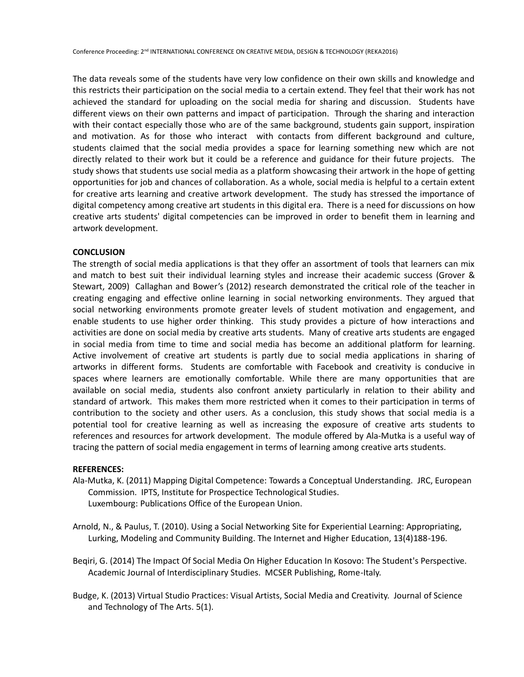The data reveals some of the students have very low confidence on their own skills and knowledge and this restricts their participation on the social media to a certain extend. They feel that their work has not achieved the standard for uploading on the social media for sharing and discussion. Students have different views on their own patterns and impact of participation. Through the sharing and interaction with their contact especially those who are of the same background, students gain support, inspiration and motivation. As for those who interact with contacts from different background and culture, students claimed that the social media provides a space for learning something new which are not directly related to their work but it could be a reference and guidance for their future projects. The study shows that students use social media as a platform showcasing their artwork in the hope of getting opportunities for job and chances of collaboration. As a whole, social media is helpful to a certain extent for creative arts learning and creative artwork development. The study has stressed the importance of digital competency among creative art students in this digital era. There is a need for discussions on how creative arts students' digital competencies can be improved in order to benefit them in learning and artwork development.

#### **CONCLUSION**

The strength of social media applications is that they offer an assortment of tools that learners can mix and match to best suit their individual learning styles and increase their academic success (Grover & Stewart, 2009) Callaghan and Bower's (2012) research demonstrated the critical role of the teacher in creating engaging and effective online learning in social networking environments. They argued that social networking environments promote greater levels of student motivation and engagement, and enable students to use higher order thinking. This study provides a picture of how interactions and activities are done on social media by creative arts students. Many of creative arts students are engaged in social media from time to time and social media has become an additional platform for learning. Active involvement of creative art students is partly due to social media applications in sharing of artworks in different forms. Students are comfortable with Facebook and creativity is conducive in spaces where learners are emotionally comfortable. While there are many opportunities that are available on social media, students also confront anxiety particularly in relation to their ability and standard of artwork. This makes them more restricted when it comes to their participation in terms of contribution to the society and other users. As a conclusion, this study shows that social media is a potential tool for creative learning as well as increasing the exposure of creative arts students to references and resources for artwork development. The module offered by Ala-Mutka is a useful way of tracing the pattern of social media engagement in terms of learning among creative arts students.

#### **REFERENCES:**

- Ala-Mutka, K. (2011) Mapping Digital Competence: Towards a Conceptual Understanding. JRC, European Commission. IPTS, Institute for Prospectice Technological Studies. Luxembourg: Publications Office of the European Union.
- Arnold, N., & Paulus, T. (2010). Using a Social Networking Site for Experiential Learning: Appropriating, Lurking, Modeling and Community Building. The Internet and Higher Education, 13(4)188-196.
- Beqiri, G. (2014) The Impact Of Social Media On Higher Education In Kosovo: The Student's Perspective. Academic Journal of Interdisciplinary Studies. MCSER Publishing, Rome-Italy.
- Budge, K. (2013) Virtual Studio Practices: Visual Artists, Social Media and Creativity. Journal of Science and Technology of The Arts. 5(1).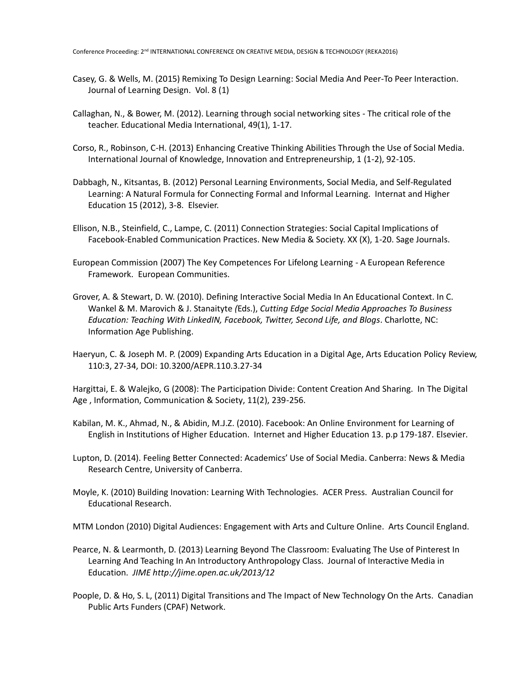- Casey, G. & Wells, M. (2015) Remixing To Design Learning: Social Media And Peer-To Peer Interaction. Journal of Learning Design. Vol. 8 (1)
- Callaghan, N., & Bower, M. (2012). Learning through social networking sites The critical role of the teacher. Educational Media International, 49(1), 1-17.
- Corso, R., Robinson, C-H. (2013) Enhancing Creative Thinking Abilities Through the Use of Social Media. International Journal of Knowledge, Innovation and Entrepreneurship, 1 (1-2), 92-105.
- Dabbagh, N., Kitsantas, B. (2012) Personal Learning Environments, Social Media, and Self-Regulated Learning: A Natural Formula for Connecting Formal and Informal Learning. Internat and Higher Education 15 (2012), 3-8. Elsevier.
- Ellison, N.B., Steinfield, C., Lampe, C. (2011) Connection Strategies: Social Capital Implications of Facebook-Enabled Communication Practices. New Media & Society. XX (X), 1-20. Sage Journals.
- European Commission (2007) The Key Competences For Lifelong Learning A European Reference Framework. European Communities.
- Grover, A. & Stewart, D. W. (2010). Defining Interactive Social Media In An Educational Context. In C. Wankel & M. Marovich & J. Stanaityte *(*Eds.), *Cutting Edge Social Media Approaches To Business Education: Teaching With LinkedIN, Facebook, Twitter, Second Life, and Blogs*. Charlotte, NC: Information Age Publishing.
- Haeryun, C. & Joseph M. P. (2009) Expanding Arts Education in a Digital Age, Arts Education Policy Review, 110:3, 27-34, DOI: 10.3200/AEPR.110.3.27-34

Hargittai, E. & Walejko, G (2008): The Participation Divide: Content Creation And Sharing. In The Digital Age , Information, Communication & Society, 11(2), 239-256.

- Kabilan, M. K., Ahmad, N., & Abidin, M.J.Z. (2010). Facebook: An Online Environment for Learning of English in Institutions of Higher Education. Internet and Higher Education 13. p.p 179-187. Elsevier.
- Lupton, D. (2014). Feeling Better Connected: Academics' Use of Social Media. Canberra: News & Media Research Centre, University of Canberra.
- Moyle, K. (2010) Building Inovation: Learning With Technologies. ACER Press. Australian Council for Educational Research.

MTM London (2010) Digital Audiences: Engagement with Arts and Culture Online. Arts Council England.

- Pearce, N. & Learmonth, D. (2013) Learning Beyond The Classroom: Evaluating The Use of Pinterest In Learning And Teaching In An Introductory Anthropology Class. Journal of Interactive Media in Education. *JIME http://jime.open.ac.uk/2013/12*
- Poople, D. & Ho, S. L, (2011) Digital Transitions and The Impact of New Technology On the Arts. Canadian Public Arts Funders (CPAF) Network.